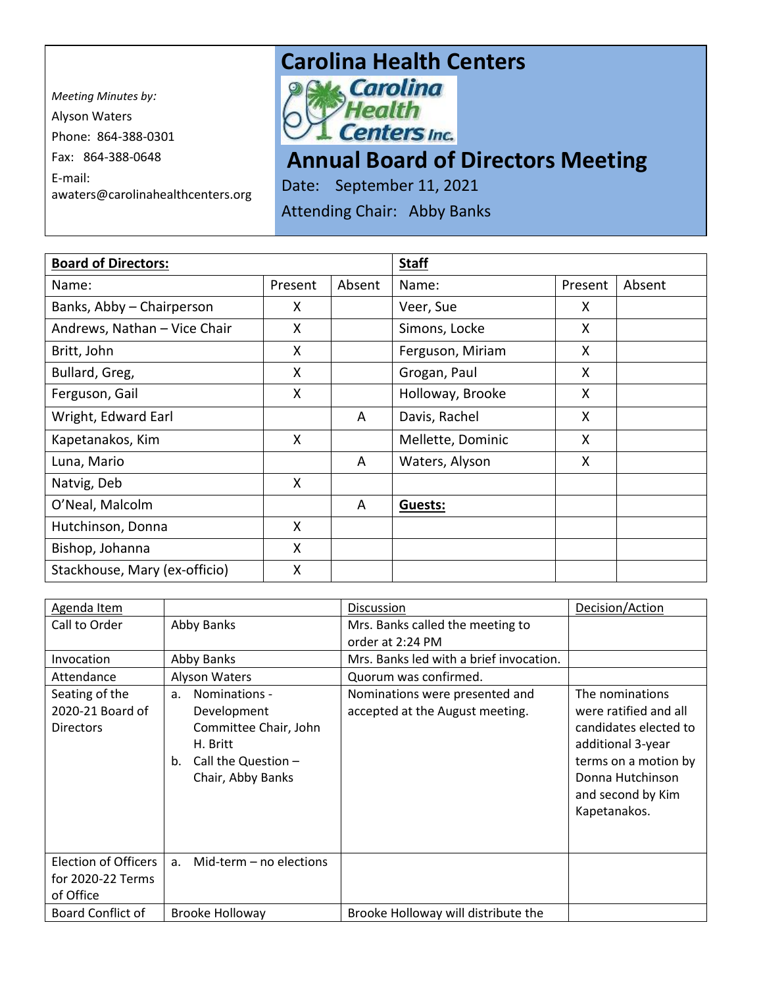*Meeting Minutes by:*  Alyson Waters Phone: 864-388-0301 Fax: 864-388-0648 E-mail: awaters@carolinahealthcenters.org

## **Carolina Health Centers**<br> **P. N. Carolina**



## **Annual Board of Directors Meeting**

Date: September 11, 2021

Attending Chair: Abby Banks

| <b>Board of Directors:</b>    |         |        | <b>Staff</b>      |         |        |
|-------------------------------|---------|--------|-------------------|---------|--------|
| Name:                         | Present | Absent | Name:             | Present | Absent |
| Banks, Abby - Chairperson     | X       |        | Veer, Sue         | X       |        |
| Andrews, Nathan - Vice Chair  | X       |        | Simons, Locke     | X       |        |
| Britt, John                   | X       |        | Ferguson, Miriam  | X       |        |
| Bullard, Greg,                | X       |        | Grogan, Paul      | X       |        |
| Ferguson, Gail                | X       |        | Holloway, Brooke  | X       |        |
| Wright, Edward Earl           |         | A      | Davis, Rachel     | X       |        |
| Kapetanakos, Kim              | X       |        | Mellette, Dominic | X       |        |
| Luna, Mario                   |         | A      | Waters, Alyson    | X       |        |
| Natvig, Deb                   | X       |        |                   |         |        |
| O'Neal, Malcolm               |         | A      | Guests:           |         |        |
| Hutchinson, Donna             | X       |        |                   |         |        |
| Bishop, Johanna               | X       |        |                   |         |        |
| Stackhouse, Mary (ex-officio) | X       |        |                   |         |        |

| Agenda Item                                                   |                                                                                                                                         | Discussion                                                        | Decision/Action                                                                                                                                                         |
|---------------------------------------------------------------|-----------------------------------------------------------------------------------------------------------------------------------------|-------------------------------------------------------------------|-------------------------------------------------------------------------------------------------------------------------------------------------------------------------|
| Call to Order                                                 | <b>Abby Banks</b>                                                                                                                       | Mrs. Banks called the meeting to                                  |                                                                                                                                                                         |
|                                                               |                                                                                                                                         | order at 2:24 PM                                                  |                                                                                                                                                                         |
| Invocation                                                    | Abby Banks                                                                                                                              | Mrs. Banks led with a brief invocation.                           |                                                                                                                                                                         |
| Attendance                                                    | Alyson Waters                                                                                                                           | Quorum was confirmed.                                             |                                                                                                                                                                         |
| Seating of the<br>2020-21 Board of<br><b>Directors</b>        | Nominations -<br>a <sub>z</sub><br>Development<br>Committee Chair, John<br>H. Britt<br>Call the Question $-$<br>b.<br>Chair, Abby Banks | Nominations were presented and<br>accepted at the August meeting. | The nominations<br>were ratified and all<br>candidates elected to<br>additional 3-year<br>terms on a motion by<br>Donna Hutchinson<br>and second by Kim<br>Kapetanakos. |
| <b>Election of Officers</b><br>for 2020-22 Terms<br>of Office | Mid-term $-$ no elections<br>a.                                                                                                         |                                                                   |                                                                                                                                                                         |
| Board Conflict of                                             | <b>Brooke Holloway</b>                                                                                                                  | Brooke Holloway will distribute the                               |                                                                                                                                                                         |